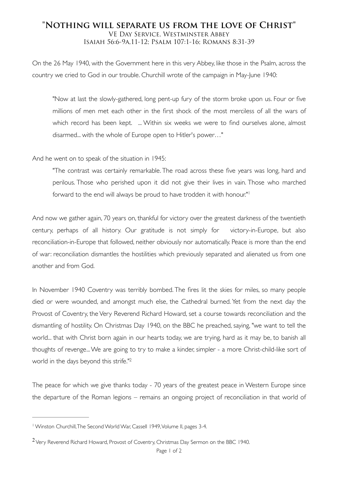## **"Nothing will separate us from the love of Christ"** VE Day Service, Westminster Abbey Isaiah 56:6-9a,11-12; Psalm 107:1-16; Romans 8:31-39

On the 26 May 1940, with the Government here in this very Abbey, like those in the Psalm, across the country we cried to God in our trouble. Churchill wrote of the campaign in May-June 1940:

"Now at last the slowly-gathered, long pent-up fury of the storm broke upon us. Four or five millions of men met each other in the first shock of the most merciless of all the wars of which record has been kept. ... Within six weeks we were to find ourselves alone, almost disarmed... with the whole of Europe open to Hitler's power…"

And he went on to speak of the situation in 1945:

"The contrast was certainly remarkable. The road across these five years was long, hard and perilous. Those who perished upon it did not give their lives in vain. Those who marched forward to the end will always be proud to have trodden it with honour."1

And now we gather again, 70 years on, thankful for victory over the greatest darkness of the twentieth century, perhaps of all history. Our gratitude is not simply for victory-in-Europe, but also reconciliation-in-Europe that followed, neither obviously nor automatically. Peace is more than the end of war: reconciliation dismantles the hostilities which previously separated and alienated us from one another and from God.

In November 1940 Coventry was terribly bombed. The fires lit the skies for miles, so many people died or were wounded, and amongst much else, the Cathedral burned. Yet from the next day the Provost of Coventry, the Very Reverend Richard Howard, set a course towards reconciliation and the dismantling of hostility. On Christmas Day 1940, on the BBC he preached, saying, "we want to tell the world... that with Christ born again in our hearts today, we are trying, hard as it may be, to banish all thoughts of revenge... We are going to try to make a kinder, simpler - a more Christ-child-like sort of world in the days beyond this strife."2

The peace for which we give thanks today - 70 years of the greatest peace in Western Europe since the departure of the Roman legions – remains an ongoing project of reconciliation in that world of

Winston Churchill, The Second World War, Cassell 1949, Volume II, pages 3-4. <sup>1</sup>

<sup>&</sup>lt;sup>2</sup> Very Reverend Richard Howard, Provost of Coventry, Christmas Day Sermon on the BBC 1940.